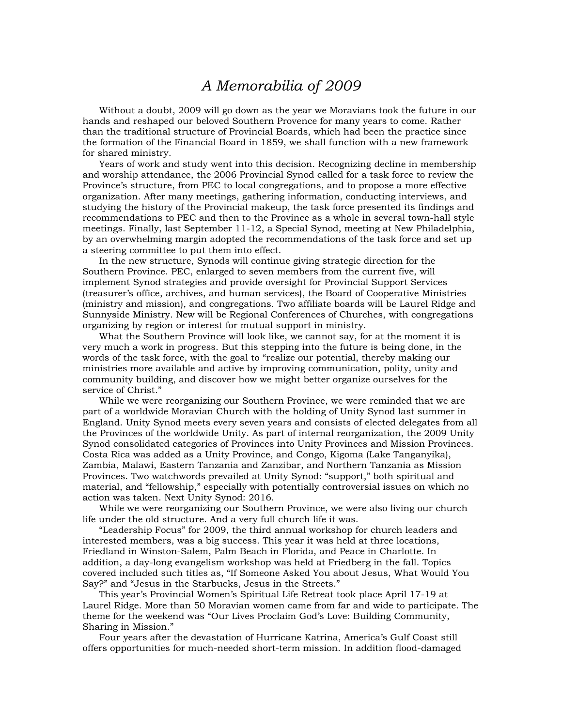## *A Memorabilia of 2009*

Without a doubt, 2009 will go down as the year we Moravians took the future in our hands and reshaped our beloved Southern Provence for many years to come. Rather than the traditional structure of Provincial Boards, which had been the practice since the formation of the Financial Board in 1859, we shall function with a new framework for shared ministry.

Years of work and study went into this decision. Recognizing decline in membership and worship attendance, the 2006 Provincial Synod called for a task force to review the Province's structure, from PEC to local congregations, and to propose a more effective organization. After many meetings, gathering information, conducting interviews, and studying the history of the Provincial makeup, the task force presented its findings and recommendations to PEC and then to the Province as a whole in several town-hall style meetings. Finally, last September 11-12, a Special Synod, meeting at New Philadelphia, by an overwhelming margin adopted the recommendations of the task force and set up a steering committee to put them into effect.

In the new structure, Synods will continue giving strategic direction for the Southern Province. PEC, enlarged to seven members from the current five, will implement Synod strategies and provide oversight for Provincial Support Services (treasurer's office, archives, and human services), the Board of Cooperative Ministries (ministry and mission), and congregations. Two affiliate boards will be Laurel Ridge and Sunnyside Ministry. New will be Regional Conferences of Churches, with congregations organizing by region or interest for mutual support in ministry.

What the Southern Province will look like, we cannot say, for at the moment it is very much a work in progress. But this stepping into the future is being done, in the words of the task force, with the goal to "realize our potential, thereby making our ministries more available and active by improving communication, polity, unity and community building, and discover how we might better organize ourselves for the service of Christ."

While we were reorganizing our Southern Province, we were reminded that we are part of a worldwide Moravian Church with the holding of Unity Synod last summer in England. Unity Synod meets every seven years and consists of elected delegates from all the Provinces of the worldwide Unity. As part of internal reorganization, the 2009 Unity Synod consolidated categories of Provinces into Unity Provinces and Mission Provinces. Costa Rica was added as a Unity Province, and Congo, Kigoma (Lake Tanganyika), Zambia, Malawi, Eastern Tanzania and Zanzibar, and Northern Tanzania as Mission Provinces. Two watchwords prevailed at Unity Synod: "support," both spiritual and material, and "fellowship," especially with potentially controversial issues on which no action was taken. Next Unity Synod: 2016.

While we were reorganizing our Southern Province, we were also living our church life under the old structure. And a very full church life it was.

"Leadership Focus" for 2009, the third annual workshop for church leaders and interested members, was a big success. This year it was held at three locations, Friedland in Winston-Salem, Palm Beach in Florida, and Peace in Charlotte. In addition, a day-long evangelism workshop was held at Friedberg in the fall. Topics covered included such titles as, "If Someone Asked You about Jesus, What Would You Say?" and "Jesus in the Starbucks, Jesus in the Streets."

This year's Provincial Women's Spiritual Life Retreat took place April 17-19 at Laurel Ridge. More than 50 Moravian women came from far and wide to participate. The theme for the weekend was "Our Lives Proclaim God's Love: Building Community, Sharing in Mission."

Four years after the devastation of Hurricane Katrina, America's Gulf Coast still offers opportunities for much-needed short-term mission. In addition flood-damaged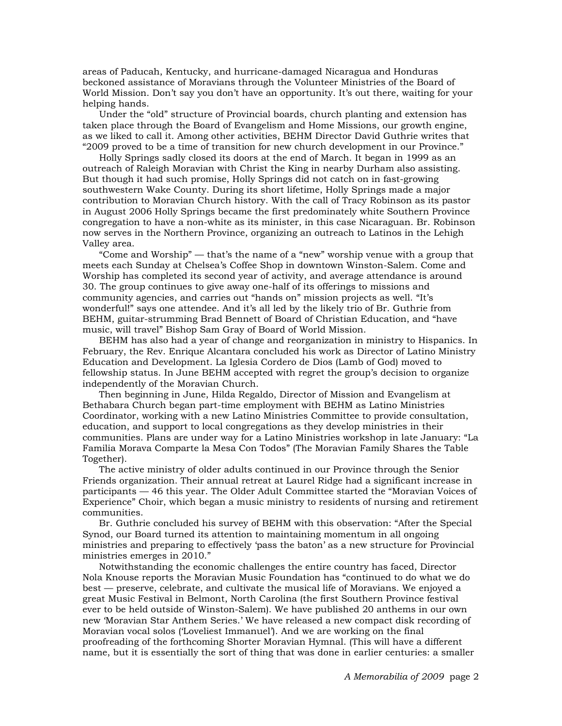areas of Paducah, Kentucky, and hurricane-damaged Nicaragua and Honduras beckoned assistance of Moravians through the Volunteer Ministries of the Board of World Mission. Don't say you don't have an opportunity. It's out there, waiting for your helping hands.

Under the "old" structure of Provincial boards, church planting and extension has taken place through the Board of Evangelism and Home Missions, our growth engine, as we liked to call it. Among other activities, BEHM Director David Guthrie writes that "2009 proved to be a time of transition for new church development in our Province."

Holly Springs sadly closed its doors at the end of March. It began in 1999 as an outreach of Raleigh Moravian with Christ the King in nearby Durham also assisting. But though it had such promise, Holly Springs did not catch on in fast-growing southwestern Wake County. During its short lifetime, Holly Springs made a major contribution to Moravian Church history. With the call of Tracy Robinson as its pastor in August 2006 Holly Springs became the first predominately white Southern Province congregation to have a non-white as its minister, in this case Nicaraguan. Br. Robinson now serves in the Northern Province, organizing an outreach to Latinos in the Lehigh Valley area.

"Come and Worship" — that's the name of a "new" worship venue with a group that meets each Sunday at Chelsea's Coffee Shop in downtown Winston-Salem. Come and Worship has completed its second year of activity, and average attendance is around 30. The group continues to give away one-half of its offerings to missions and community agencies, and carries out "hands on" mission projects as well. "It's wonderful!" says one attendee. And it's all led by the likely trio of Br. Guthrie from BEHM, guitar-strumming Brad Bennett of Board of Christian Education, and "have music, will travel" Bishop Sam Gray of Board of World Mission.

BEHM has also had a year of change and reorganization in ministry to Hispanics. In February, the Rev. Enrique Alcantara concluded his work as Director of Latino Ministry Education and Development. La Iglesia Cordero de Dios (Lamb of God) moved to fellowship status. In June BEHM accepted with regret the group's decision to organize independently of the Moravian Church.

Then beginning in June, Hilda Regaldo, Director of Mission and Evangelism at Bethabara Church began part-time employment with BEHM as Latino Ministries Coordinator, working with a new Latino Ministries Committee to provide consultation, education, and support to local congregations as they develop ministries in their communities. Plans are under way for a Latino Ministries workshop in late January: "La Familia Morava Comparte la Mesa Con Todos" (The Moravian Family Shares the Table Together).

The active ministry of older adults continued in our Province through the Senior Friends organization. Their annual retreat at Laurel Ridge had a significant increase in participants — 46 this year. The Older Adult Committee started the "Moravian Voices of Experience" Choir, which began a music ministry to residents of nursing and retirement communities.

Br. Guthrie concluded his survey of BEHM with this observation: "After the Special Synod, our Board turned its attention to maintaining momentum in all ongoing ministries and preparing to effectively 'pass the baton' as a new structure for Provincial ministries emerges in 2010."

Notwithstanding the economic challenges the entire country has faced, Director Nola Knouse reports the Moravian Music Foundation has "continued to do what we do best — preserve, celebrate, and cultivate the musical life of Moravians. We enjoyed a great Music Festival in Belmont, North Carolina (the first Southern Province festival ever to be held outside of Winston-Salem). We have published 20 anthems in our own new 'Moravian Star Anthem Series.' We have released a new compact disk recording of Moravian vocal solos ('Loveliest Immanuel'). And we are working on the final proofreading of the forthcoming Shorter Moravian Hymnal. (This will have a different name, but it is essentially the sort of thing that was done in earlier centuries: a smaller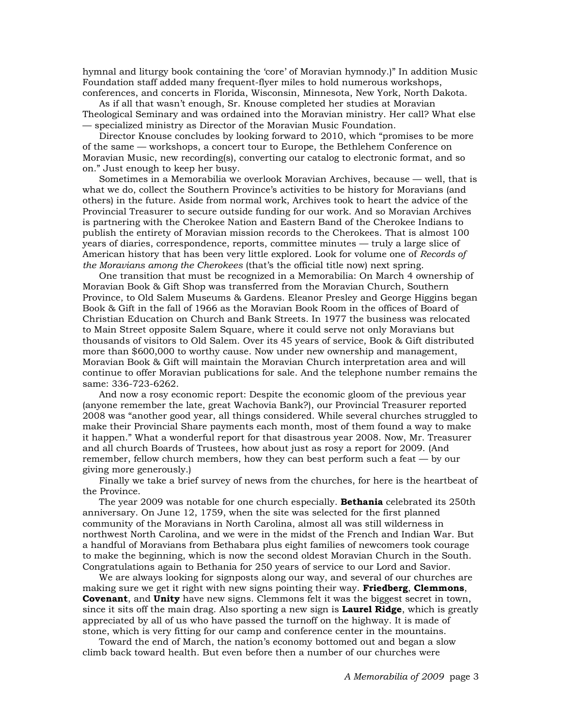hymnal and liturgy book containing the 'core' of Moravian hymnody.)" In addition Music Foundation staff added many frequent-flyer miles to hold numerous workshops, conferences, and concerts in Florida, Wisconsin, Minnesota, New York, North Dakota.

As if all that wasn't enough, Sr. Knouse completed her studies at Moravian Theological Seminary and was ordained into the Moravian ministry. Her call? What else — specialized ministry as Director of the Moravian Music Foundation.

Director Knouse concludes by looking forward to 2010, which "promises to be more of the same — workshops, a concert tour to Europe, the Bethlehem Conference on Moravian Music, new recording(s), converting our catalog to electronic format, and so on." Just enough to keep her busy.

Sometimes in a Memorabilia we overlook Moravian Archives, because — well, that is what we do, collect the Southern Province's activities to be history for Moravians (and others) in the future. Aside from normal work, Archives took to heart the advice of the Provincial Treasurer to secure outside funding for our work. And so Moravian Archives is partnering with the Cherokee Nation and Eastern Band of the Cherokee Indians to publish the entirety of Moravian mission records to the Cherokees. That is almost 100 years of diaries, correspondence, reports, committee minutes — truly a large slice of American history that has been very little explored. Look for volume one of *Records of the Moravians among the Cherokees* (that's the official title now) next spring.

One transition that must be recognized in a Memorabilia: On March 4 ownership of Moravian Book & Gift Shop was transferred from the Moravian Church, Southern Province, to Old Salem Museums & Gardens. Eleanor Presley and George Higgins began Book & Gift in the fall of 1966 as the Moravian Book Room in the offices of Board of Christian Education on Church and Bank Streets. In 1977 the business was relocated to Main Street opposite Salem Square, where it could serve not only Moravians but thousands of visitors to Old Salem. Over its 45 years of service, Book & Gift distributed more than \$600,000 to worthy cause. Now under new ownership and management, Moravian Book & Gift will maintain the Moravian Church interpretation area and will continue to offer Moravian publications for sale. And the telephone number remains the same: 336-723-6262.

And now a rosy economic report: Despite the economic gloom of the previous year (anyone remember the late, great Wachovia Bank?), our Provincial Treasurer reported 2008 was "another good year, all things considered. While several churches struggled to make their Provincial Share payments each month, most of them found a way to make it happen." What a wonderful report for that disastrous year 2008. Now, Mr. Treasurer and all church Boards of Trustees, how about just as rosy a report for 2009. (And remember, fellow church members, how they can best perform such a feat — by our giving more generously.)

Finally we take a brief survey of news from the churches, for here is the heartbeat of the Province.

The year 2009 was notable for one church especially. **Bethania** celebrated its 250th anniversary. On June 12, 1759, when the site was selected for the first planned community of the Moravians in North Carolina, almost all was still wilderness in northwest North Carolina, and we were in the midst of the French and Indian War. But a handful of Moravians from Bethabara plus eight families of newcomers took courage to make the beginning, which is now the second oldest Moravian Church in the South. Congratulations again to Bethania for 250 years of service to our Lord and Savior.

We are always looking for signposts along our way, and several of our churches are making sure we get it right with new signs pointing their way. **Friedberg**, **Clemmons**, **Covenant**, and **Unity** have new signs. Clemmons felt it was the biggest secret in town, since it sits off the main drag. Also sporting a new sign is **Laurel Ridge**, which is greatly appreciated by all of us who have passed the turnoff on the highway. It is made of stone, which is very fitting for our camp and conference center in the mountains.

Toward the end of March, the nation's economy bottomed out and began a slow climb back toward health. But even before then a number of our churches were